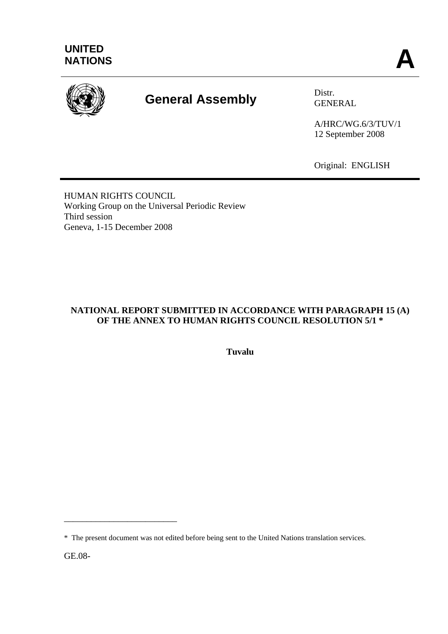

# **General Assembly** Distr.

GENERAL

A/HRC/WG.6/3/TUV/1 12 September 2008

Original: ENGLISH

HUMAN RIGHTS COUNCIL Working Group on the Universal Periodic Review Third session Geneva, 1-15 December 2008

# **NATIONAL REPORT SUBMITTED IN ACCORDANCE WITH PARAGRAPH 15 (A) OF THE ANNEX TO HUMAN RIGHTS COUNCIL RESOLUTION 5/1 \***

**Tuvalu** 

GE.08-

\_\_\_\_\_\_\_\_\_\_\_\_\_\_\_\_\_\_\_\_\_\_\_\_\_

<sup>\*</sup> The present document was not edited before being sent to the United Nations translation services.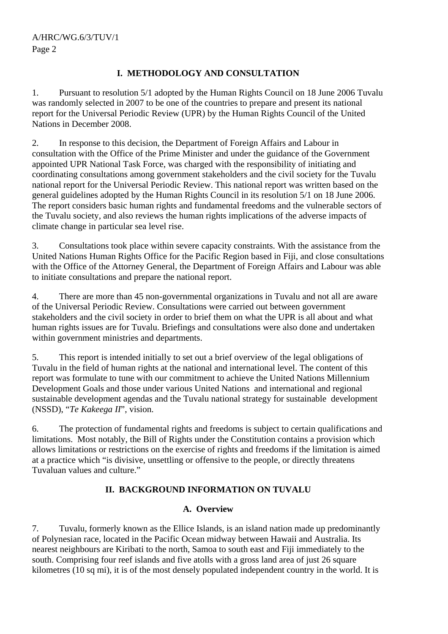## **I. METHODOLOGY AND CONSULTATION**

1. Pursuant to resolution 5/1 adopted by the Human Rights Council on 18 June 2006 Tuvalu was randomly selected in 2007 to be one of the countries to prepare and present its national report for the Universal Periodic Review (UPR) by the Human Rights Council of the United Nations in December 2008.

2. In response to this decision, the Department of Foreign Affairs and Labour in consultation with the Office of the Prime Minister and under the guidance of the Government appointed UPR National Task Force, was charged with the responsibility of initiating and coordinating consultations among government stakeholders and the civil society for the Tuvalu national report for the Universal Periodic Review. This national report was written based on the general guidelines adopted by the Human Rights Council in its resolution 5/1 on 18 June 2006. The report considers basic human rights and fundamental freedoms and the vulnerable sectors of the Tuvalu society, and also reviews the human rights implications of the adverse impacts of climate change in particular sea level rise.

3. Consultations took place within severe capacity constraints. With the assistance from the United Nations Human Rights Office for the Pacific Region based in Fiji, and close consultations with the Office of the Attorney General, the Department of Foreign Affairs and Labour was able to initiate consultations and prepare the national report.

4. There are more than 45 non-governmental organizations in Tuvalu and not all are aware of the Universal Periodic Review. Consultations were carried out between government stakeholders and the civil society in order to brief them on what the UPR is all about and what human rights issues are for Tuvalu. Briefings and consultations were also done and undertaken within government ministries and departments.

5. This report is intended initially to set out a brief overview of the legal obligations of Tuvalu in the field of human rights at the national and international level. The content of this report was formulate to tune with our commitment to achieve the United Nations Millennium Development Goals and those under various United Nations and international and regional sustainable development agendas and the Tuvalu national strategy for sustainable development (NSSD), "*Te Kakeega II*", vision.

6. The protection of fundamental rights and freedoms is subject to certain qualifications and limitations. Most notably, the Bill of Rights under the Constitution contains a provision which allows limitations or restrictions on the exercise of rights and freedoms if the limitation is aimed at a practice which "is divisive, unsettling or offensive to the people, or directly threatens Tuvaluan values and culture."

# **II. BACKGROUND INFORMATION ON TUVALU**

## **A. Overview**

7. Tuvalu, formerly known as the Ellice Islands, is an island nation made up predominantly of Polynesian race, located in the Pacific Ocean midway between Hawaii and Australia. Its nearest neighbours are Kiribati to the north, Samoa to south east and Fiji immediately to the south. Comprising four reef islands and five atolls with a gross land area of just 26 square kilometres (10 sq mi), it is of the most densely populated independent country in the world. It is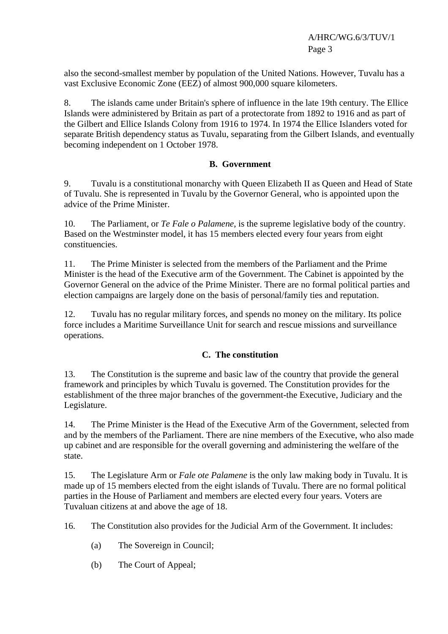also the second-smallest member by population of the United Nations. However, Tuvalu has a vast Exclusive Economic Zone (EEZ) of almost 900,000 square kilometers.

8. The islands came under Britain's sphere of influence in the late 19th century. The Ellice Islands were administered by Britain as part of a protectorate from 1892 to 1916 and as part of the Gilbert and Ellice Islands Colony from 1916 to 1974. In 1974 the Ellice Islanders voted for separate British dependency status as Tuvalu, separating from the Gilbert Islands, and eventually becoming independent on 1 October 1978.

# **B. Government**

9. Tuvalu is a constitutional monarchy with Queen Elizabeth II as Queen and Head of State of Tuvalu. She is represented in Tuvalu by the Governor General, who is appointed upon the advice of the Prime Minister.

10. The Parliament, or *Te Fale o Palamene*, is the supreme legislative body of the country. Based on the Westminster model, it has 15 members elected every four years from eight constituencies.

11. The Prime Minister is selected from the members of the Parliament and the Prime Minister is the head of the Executive arm of the Government. The Cabinet is appointed by the Governor General on the advice of the Prime Minister. There are no formal political parties and election campaigns are largely done on the basis of personal/family ties and reputation.

12. Tuvalu has no regular military forces, and spends no money on the military. Its police force includes a Maritime Surveillance Unit for search and rescue missions and surveillance operations.

## **C. The constitution**

13. The Constitution is the supreme and basic law of the country that provide the general framework and principles by which Tuvalu is governed. The Constitution provides for the establishment of the three major branches of the government-the Executive, Judiciary and the Legislature.

14. The Prime Minister is the Head of the Executive Arm of the Government, selected from and by the members of the Parliament. There are nine members of the Executive, who also made up cabinet and are responsible for the overall governing and administering the welfare of the state.

15. The Legislature Arm or *Fale ote Palamene* is the only law making body in Tuvalu. It is made up of 15 members elected from the eight islands of Tuvalu. There are no formal political parties in the House of Parliament and members are elected every four years. Voters are Tuvaluan citizens at and above the age of 18.

16. The Constitution also provides for the Judicial Arm of the Government. It includes:

- (a) The Sovereign in Council;
- (b) The Court of Appeal;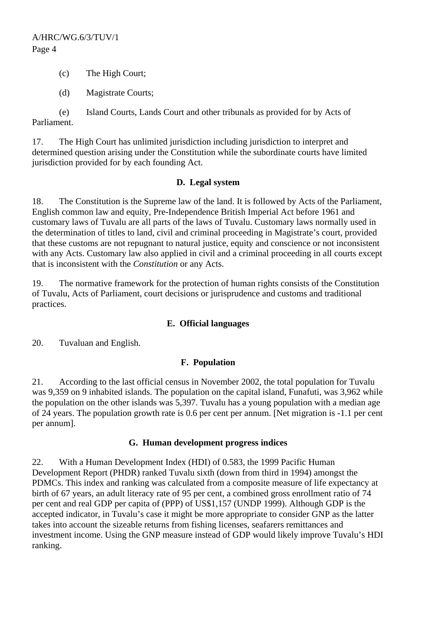- (c) The High Court;
- (d) Magistrate Courts;

(e) Island Courts, Lands Court and other tribunals as provided for by Acts of Parliament.

17. The High Court has unlimited jurisdiction including jurisdiction to interpret and determined question arising under the Constitution while the subordinate courts have limited jurisdiction provided for by each founding Act.

#### **D. Legal system**

18. The Constitution is the Supreme law of the land. It is followed by Acts of the Parliament, English common law and equity, Pre-Independence British Imperial Act before 1961 and customary laws of Tuvalu are all parts of the laws of Tuvalu. Customary laws normally used in the determination of titles to land, civil and criminal proceeding in Magistrate's court, provided that these customs are not repugnant to natural justice, equity and conscience or not inconsistent with any Acts. Customary law also applied in civil and a criminal proceeding in all courts except that is inconsistent with the *Constitution* or any Acts.

19. The normative framework for the protection of human rights consists of the Constitution of Tuvalu, Acts of Parliament, court decisions or jurisprudence and customs and traditional practices.

## **E. Official languages**

20. Tuvaluan and English.

## **F. Population**

21. According to the last official census in November 2002, the total population for Tuvalu was 9,359 on 9 inhabited islands. The population on the capital island, Funafuti, was 3,962 while the population on the other islands was 5,397. Tuvalu has a young population with a median age of 24 years. The population growth rate is 0.6 per cent per annum. [Net migration is -1.1 per cent per annum].

#### **G. Human development progress indices**

22. With a Human Development Index (HDI) of 0.583, the 1999 Pacific Human Development Report (PHDR) ranked Tuvalu sixth (down from third in 1994) amongst the PDMCs. This index and ranking was calculated from a composite measure of life expectancy at birth of 67 years, an adult literacy rate of 95 per cent, a combined gross enrollment ratio of 74 per cent and real GDP per capita of (PPP) of US\$1,157 (UNDP 1999). Although GDP is the accepted indicator, in Tuvalu's case it might be more appropriate to consider GNP as the latter takes into account the sizeable returns from fishing licenses, seafarers remittances and investment income. Using the GNP measure instead of GDP would likely improve Tuvalu's HDI ranking.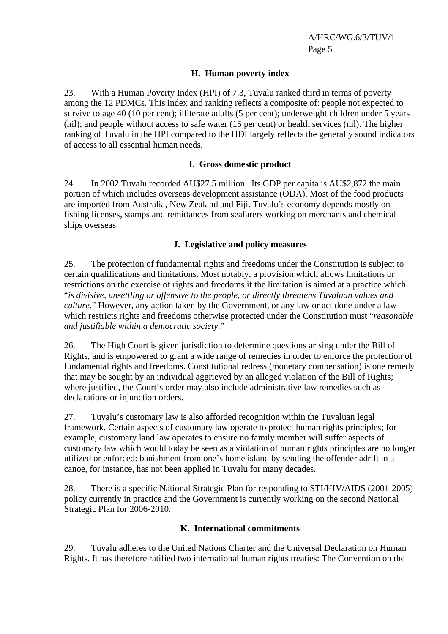## **H. Human poverty index**

23. With a Human Poverty Index (HPI) of 7.3, Tuvalu ranked third in terms of poverty among the 12 PDMCs. This index and ranking reflects a composite of: people not expected to survive to age 40 (10 per cent); illiterate adults (5 per cent); underweight children under 5 years (nil); and people without access to safe water (15 per cent) or health services (nil). The higher ranking of Tuvalu in the HPI compared to the HDI largely reflects the generally sound indicators of access to all essential human needs.

#### **I. Gross domestic product**

24. In 2002 Tuvalu recorded AU\$27.5 million. Its GDP per capita is AU\$2,872 the main portion of which includes overseas development assistance (ODA). Most of the food products are imported from Australia, New Zealand and Fiji. Tuvalu's economy depends mostly on fishing licenses, stamps and remittances from seafarers working on merchants and chemical ships overseas.

#### **J. Legislative and policy measures**

25. The protection of fundamental rights and freedoms under the Constitution is subject to certain qualifications and limitations. Most notably, a provision which allows limitations or restrictions on the exercise of rights and freedoms if the limitation is aimed at a practice which "*is divisive, unsettling or offensive to the people, or directly threatens Tuvaluan values and culture.*" However, any action taken by the Government, or any law or act done under a law which restricts rights and freedoms otherwise protected under the Constitution must "*reasonable and justifiable within a democratic society*."

26. The High Court is given jurisdiction to determine questions arising under the Bill of Rights, and is empowered to grant a wide range of remedies in order to enforce the protection of fundamental rights and freedoms. Constitutional redress (monetary compensation) is one remedy that may be sought by an individual aggrieved by an alleged violation of the Bill of Rights; where justified, the Court's order may also include administrative law remedies such as declarations or injunction orders.

27. Tuvalu's customary law is also afforded recognition within the Tuvaluan legal framework. Certain aspects of customary law operate to protect human rights principles; for example, customary land law operates to ensure no family member will suffer aspects of customary law which would today be seen as a violation of human rights principles are no longer utilized or enforced: banishment from one's home island by sending the offender adrift in a canoe, for instance, has not been applied in Tuvalu for many decades.

28. There is a specific National Strategic Plan for responding to STI/HIV/AIDS (2001-2005) policy currently in practice and the Government is currently working on the second National Strategic Plan for 2006-2010.

#### **K. International commitments**

29. Tuvalu adheres to the United Nations Charter and the Universal Declaration on Human Rights. It has therefore ratified two international human rights treaties: The Convention on the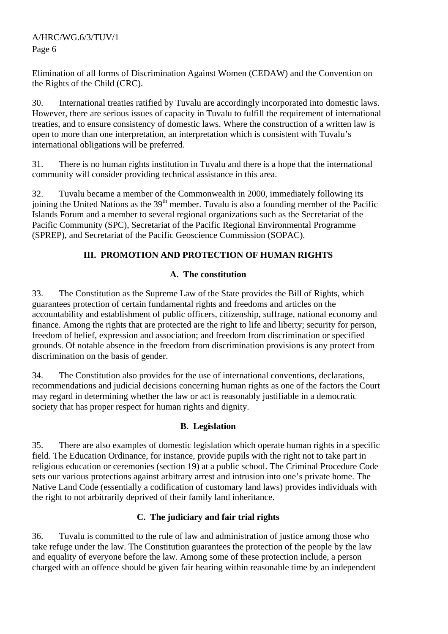Elimination of all forms of Discrimination Against Women (CEDAW) and the Convention on the Rights of the Child (CRC).

30. International treaties ratified by Tuvalu are accordingly incorporated into domestic laws. However, there are serious issues of capacity in Tuvalu to fulfill the requirement of international treaties, and to ensure consistency of domestic laws. Where the construction of a written law is open to more than one interpretation, an interpretation which is consistent with Tuvalu's international obligations will be preferred.

31. There is no human rights institution in Tuvalu and there is a hope that the international community will consider providing technical assistance in this area.

32. Tuvalu became a member of the Commonwealth in 2000, immediately following its joining the United Nations as the  $39<sup>th</sup>$  member. Tuvalu is also a founding member of the Pacific Islands Forum and a member to several regional organizations such as the Secretariat of the Pacific Community (SPC), Secretariat of the Pacific Regional Environmental Programme (SPREP), and Secretariat of the Pacific Geoscience Commission (SOPAC).

# **III. PROMOTION AND PROTECTION OF HUMAN RIGHTS**

# **A. The constitution**

33. The Constitution as the Supreme Law of the State provides the Bill of Rights, which guarantees protection of certain fundamental rights and freedoms and articles on the accountability and establishment of public officers, citizenship, suffrage, national economy and finance. Among the rights that are protected are the right to life and liberty; security for person, freedom of belief, expression and association; and freedom from discrimination or specified grounds. Of notable absence in the freedom from discrimination provisions is any protect from discrimination on the basis of gender.

34. The Constitution also provides for the use of international conventions, declarations, recommendations and judicial decisions concerning human rights as one of the factors the Court may regard in determining whether the law or act is reasonably justifiable in a democratic society that has proper respect for human rights and dignity.

# **B. Legislation**

35. There are also examples of domestic legislation which operate human rights in a specific field. The Education Ordinance, for instance, provide pupils with the right not to take part in religious education or ceremonies (section 19) at a public school. The Criminal Procedure Code sets our various protections against arbitrary arrest and intrusion into one's private home. The Native Land Code (essentially a codification of customary land laws) provides individuals with the right to not arbitrarily deprived of their family land inheritance.

# **C. The judiciary and fair trial rights**

36. Tuvalu is committed to the rule of law and administration of justice among those who take refuge under the law. The Constitution guarantees the protection of the people by the law and equality of everyone before the law. Among some of these protection include, a person charged with an offence should be given fair hearing within reasonable time by an independent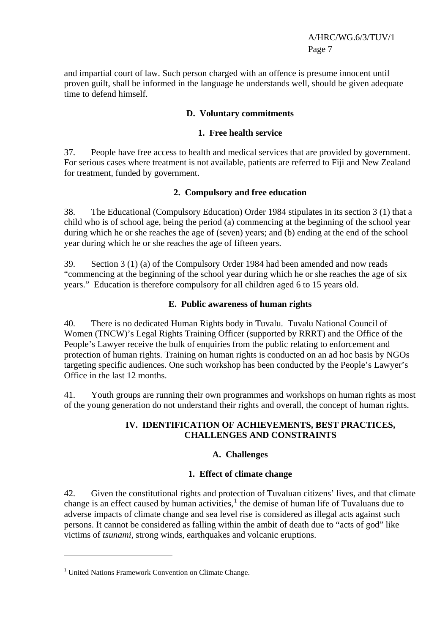and impartial court of law. Such person charged with an offence is presume innocent until proven guilt, shall be informed in the language he understands well, should be given adequate time to defend himself.

#### **D. Voluntary commitments**

#### **1. Free health service**

37. People have free access to health and medical services that are provided by government. For serious cases where treatment is not available, patients are referred to Fiji and New Zealand for treatment, funded by government.

#### **2. Compulsory and free education**

38. The Educational (Compulsory Education) Order 1984 stipulates in its section 3 (1) that a child who is of school age, being the period (a) commencing at the beginning of the school year during which he or she reaches the age of (seven) years; and (b) ending at the end of the school year during which he or she reaches the age of fifteen years.

39. Section 3 (1) (a) of the Compulsory Order 1984 had been amended and now reads "commencing at the beginning of the school year during which he or she reaches the age of six years." Education is therefore compulsory for all children aged 6 to 15 years old.

#### **E. Public awareness of human rights**

40. There is no dedicated Human Rights body in Tuvalu. Tuvalu National Council of Women (TNCW)'s Legal Rights Training Officer (supported by RRRT) and the Office of the People's Lawyer receive the bulk of enquiries from the public relating to enforcement and protection of human rights. Training on human rights is conducted on an ad hoc basis by NGOs targeting specific audiences. One such workshop has been conducted by the People's Lawyer's Office in the last 12 months.

41. Youth groups are running their own programmes and workshops on human rights as most of the young generation do not understand their rights and overall, the concept of human rights.

#### **IV. IDENTIFICATION OF ACHIEVEMENTS, BEST PRACTICES, CHALLENGES AND CONSTRAINTS**

## **A. Challenges**

#### **1. Effect of climate change**

42. Given the constitutional rights and protection of Tuvaluan citizens' lives, and that climate change is an effect caused by human activities, $<sup>1</sup>$  $<sup>1</sup>$  $<sup>1</sup>$  the demise of human life of Tuvaluans due to</sup> adverse impacts of climate change and sea level rise is considered as illegal acts against such persons. It cannot be considered as falling within the ambit of death due to "acts of god" like victims of *tsunami,* strong winds, earthquakes and volcanic eruptions.

<span id="page-6-0"></span><sup>&</sup>lt;sup>1</sup> United Nations Framework Convention on Climate Change.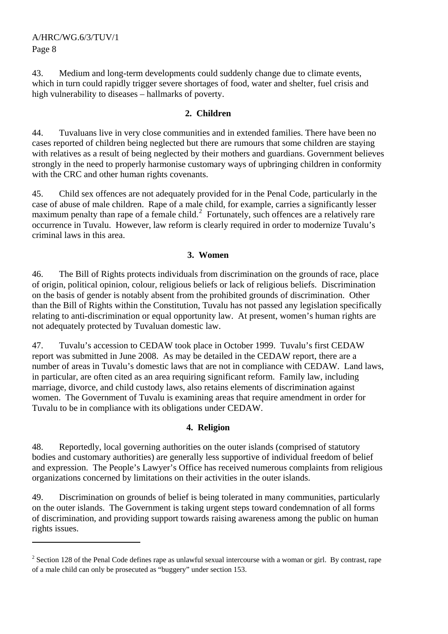43. Medium and long-term developments could suddenly change due to climate events, which in turn could rapidly trigger severe shortages of food, water and shelter, fuel crisis and high vulnerability to diseases – hallmarks of poverty.

## **2. Children**

44. Tuvaluans live in very close communities and in extended families. There have been no cases reported of children being neglected but there are rumours that some children are staying with relatives as a result of being neglected by their mothers and guardians. Government believes strongly in the need to properly harmonise customary ways of upbringing children in conformity with the CRC and other human rights covenants.

45. Child sex offences are not adequately provided for in the Penal Code, particularly in the case of abuse of male children. Rape of a male child, for example, carries a significantly lesser maximum penalty than rape of a female child.<sup>[2](#page-7-0)</sup> Fortunately, such offences are a relatively rare occurrence in Tuvalu. However, law reform is clearly required in order to modernize Tuvalu's criminal laws in this area.

## **3. Women**

46. The Bill of Rights protects individuals from discrimination on the grounds of race, place of origin, political opinion, colour, religious beliefs or lack of religious beliefs. Discrimination on the basis of gender is notably absent from the prohibited grounds of discrimination. Other than the Bill of Rights within the Constitution, Tuvalu has not passed any legislation specifically relating to anti-discrimination or equal opportunity law. At present, women's human rights are not adequately protected by Tuvaluan domestic law.

47. Tuvalu's accession to CEDAW took place in October 1999. Tuvalu's first CEDAW report was submitted in June 2008. As may be detailed in the CEDAW report, there are a number of areas in Tuvalu's domestic laws that are not in compliance with CEDAW. Land laws, in particular, are often cited as an area requiring significant reform. Family law, including marriage, divorce, and child custody laws, also retains elements of discrimination against women. The Government of Tuvalu is examining areas that require amendment in order for Tuvalu to be in compliance with its obligations under CEDAW.

#### **4. Religion**

48. Reportedly, local governing authorities on the outer islands (comprised of statutory bodies and customary authorities) are generally less supportive of individual freedom of belief and expression. The People's Lawyer's Office has received numerous complaints from religious organizations concerned by limitations on their activities in the outer islands.

49. Discrimination on grounds of belief is being tolerated in many communities, particularly on the outer islands. The Government is taking urgent steps toward condemnation of all forms of discrimination, and providing support towards raising awareness among the public on human rights issues.

<span id="page-7-0"></span> $2^2$  Section 128 of the Penal Code defines rape as unlawful sexual intercourse with a woman or girl. By contrast, rape of a male child can only be prosecuted as "buggery" under section 153.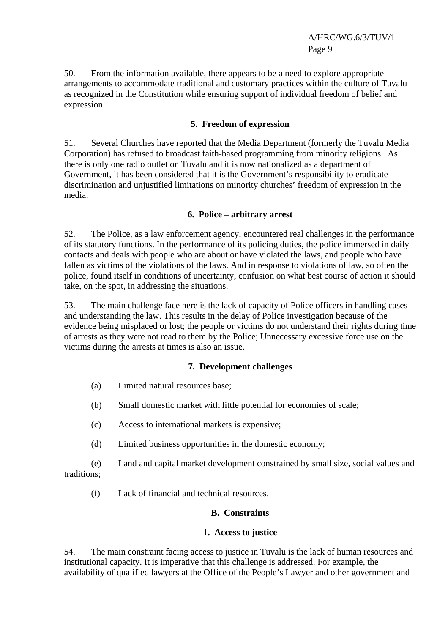50. From the information available, there appears to be a need to explore appropriate arrangements to accommodate traditional and customary practices within the culture of Tuvalu as recognized in the Constitution while ensuring support of individual freedom of belief and expression.

## **5. Freedom of expression**

51. Several Churches have reported that the Media Department (formerly the Tuvalu Media Corporation) has refused to broadcast faith-based programming from minority religions. As there is only one radio outlet on Tuvalu and it is now nationalized as a department of Government, it has been considered that it is the Government's responsibility to eradicate discrimination and unjustified limitations on minority churches' freedom of expression in the media.

## **6. Police – arbitrary arrest**

52. The Police, as a law enforcement agency, encountered real challenges in the performance of its statutory functions. In the performance of its policing duties, the police immersed in daily contacts and deals with people who are about or have violated the laws, and people who have fallen as victims of the violations of the laws. And in response to violations of law, so often the police, found itself in conditions of uncertainty, confusion on what best course of action it should take, on the spot, in addressing the situations.

53. The main challenge face here is the lack of capacity of Police officers in handling cases and understanding the law. This results in the delay of Police investigation because of the evidence being misplaced or lost; the people or victims do not understand their rights during time of arrests as they were not read to them by the Police; Unnecessary excessive force use on the victims during the arrests at times is also an issue.

## **7. Development challenges**

- (a) Limited natural resources base;
- (b) Small domestic market with little potential for economies of scale;
- (c) Access to international markets is expensive;
- (d) Limited business opportunities in the domestic economy;

(e) Land and capital market development constrained by small size, social values and traditions;

(f) Lack of financial and technical resources.

# **B. Constraints**

## **1. Access to justice**

54. The main constraint facing access to justice in Tuvalu is the lack of human resources and institutional capacity. It is imperative that this challenge is addressed. For example, the availability of qualified lawyers at the Office of the People's Lawyer and other government and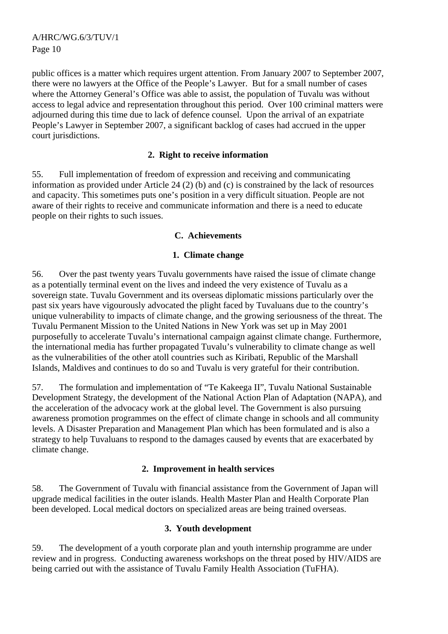public offices is a matter which requires urgent attention. From January 2007 to September 2007, there were no lawyers at the Office of the People's Lawyer. But for a small number of cases where the Attorney General's Office was able to assist, the population of Tuvalu was without access to legal advice and representation throughout this period. Over 100 criminal matters were adjourned during this time due to lack of defence counsel. Upon the arrival of an expatriate People's Lawyer in September 2007, a significant backlog of cases had accrued in the upper court jurisdictions.

#### **2. Right to receive information**

55. Full implementation of freedom of expression and receiving and communicating information as provided under Article 24 (2) (b) and (c) is constrained by the lack of resources and capacity. This sometimes puts one's position in a very difficult situation. People are not aware of their rights to receive and communicate information and there is a need to educate people on their rights to such issues.

## **C. Achievements**

## **1. Climate change**

56. Over the past twenty years Tuvalu governments have raised the issue of climate change as a potentially terminal event on the lives and indeed the very existence of Tuvalu as a sovereign state. Tuvalu Government and its overseas diplomatic missions particularly over the past six years have vigourously advocated the plight faced by Tuvaluans due to the country's unique vulnerability to impacts of climate change, and the growing seriousness of the threat. The Tuvalu Permanent Mission to the United Nations in New York was set up in May 2001 purposefully to accelerate Tuvalu's international campaign against climate change. Furthermore, the international media has further propagated Tuvalu's vulnerability to climate change as well as the vulnerabilities of the other atoll countries such as Kiribati, Republic of the Marshall Islands, Maldives and continues to do so and Tuvalu is very grateful for their contribution.

57. The formulation and implementation of "Te Kakeega II", Tuvalu National Sustainable Development Strategy, the development of the National Action Plan of Adaptation (NAPA), and the acceleration of the advocacy work at the global level. The Government is also pursuing awareness promotion programmes on the effect of climate change in schools and all community levels. A Disaster Preparation and Management Plan which has been formulated and is also a strategy to help Tuvaluans to respond to the damages caused by events that are exacerbated by climate change.

#### **2. Improvement in health services**

58. The Government of Tuvalu with financial assistance from the Government of Japan will upgrade medical facilities in the outer islands. Health Master Plan and Health Corporate Plan been developed. Local medical doctors on specialized areas are being trained overseas.

## **3. Youth development**

59. The development of a youth corporate plan and youth internship programme are under review and in progress. Conducting awareness workshops on the threat posed by HIV/AIDS are being carried out with the assistance of Tuvalu Family Health Association (TuFHA).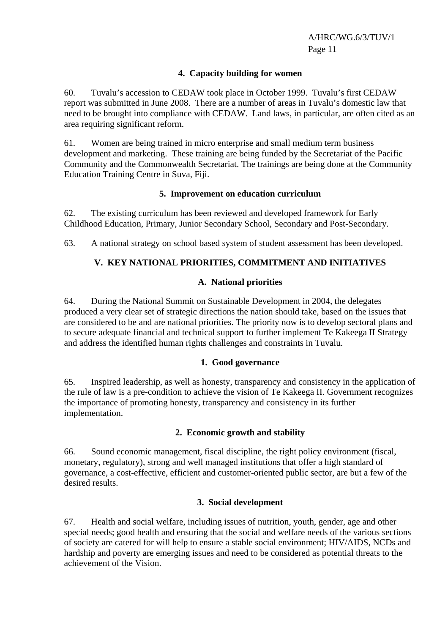#### **4. Capacity building for women**

60. Tuvalu's accession to CEDAW took place in October 1999. Tuvalu's first CEDAW report was submitted in June 2008. There are a number of areas in Tuvalu's domestic law that need to be brought into compliance with CEDAW. Land laws, in particular, are often cited as an area requiring significant reform.

61. Women are being trained in micro enterprise and small medium term business development and marketing. These training are being funded by the Secretariat of the Pacific Community and the Commonwealth Secretariat. The trainings are being done at the Community Education Training Centre in Suva, Fiji.

#### **5. Improvement on education curriculum**

62. The existing curriculum has been reviewed and developed framework for Early Childhood Education, Primary, Junior Secondary School, Secondary and Post-Secondary.

63. A national strategy on school based system of student assessment has been developed.

## **V. KEY NATIONAL PRIORITIES, COMMITMENT AND INITIATIVES**

#### **A. National priorities**

64. During the National Summit on Sustainable Development in 2004, the delegates produced a very clear set of strategic directions the nation should take, based on the issues that are considered to be and are national priorities. The priority now is to develop sectoral plans and to secure adequate financial and technical support to further implement Te Kakeega II Strategy and address the identified human rights challenges and constraints in Tuvalu.

#### **1. Good governance**

65. Inspired leadership, as well as honesty, transparency and consistency in the application of the rule of law is a pre-condition to achieve the vision of Te Kakeega II. Government recognizes the importance of promoting honesty, transparency and consistency in its further implementation.

#### **2. Economic growth and stability**

66. Sound economic management, fiscal discipline, the right policy environment (fiscal, monetary, regulatory), strong and well managed institutions that offer a high standard of governance, a cost-effective, efficient and customer-oriented public sector, are but a few of the desired results.

## **3. Social development**

67. Health and social welfare, including issues of nutrition, youth, gender, age and other special needs; good health and ensuring that the social and welfare needs of the various sections of society are catered for will help to ensure a stable social environment; HIV/AIDS, NCDs and hardship and poverty are emerging issues and need to be considered as potential threats to the achievement of the Vision.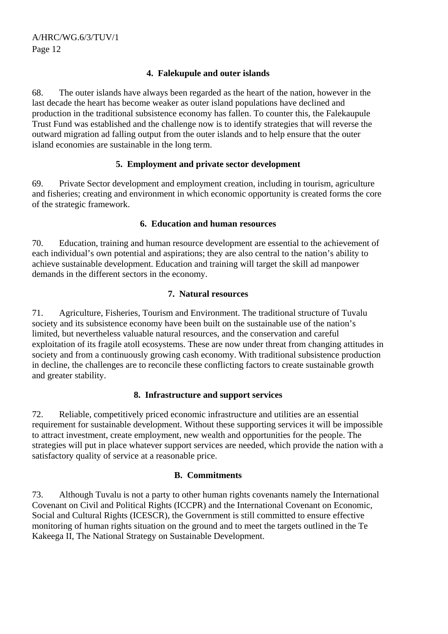## **4. Falekupule and outer islands**

68. The outer islands have always been regarded as the heart of the nation, however in the last decade the heart has become weaker as outer island populations have declined and production in the traditional subsistence economy has fallen. To counter this, the Falekaupule Trust Fund was established and the challenge now is to identify strategies that will reverse the outward migration ad falling output from the outer islands and to help ensure that the outer island economies are sustainable in the long term.

## **5. Employment and private sector development**

69. Private Sector development and employment creation, including in tourism, agriculture and fisheries; creating and environment in which economic opportunity is created forms the core of the strategic framework.

## **6. Education and human resources**

70. Education, training and human resource development are essential to the achievement of each individual's own potential and aspirations; they are also central to the nation's ability to achieve sustainable development. Education and training will target the skill ad manpower demands in the different sectors in the economy.

## **7. Natural resources**

71. Agriculture, Fisheries, Tourism and Environment. The traditional structure of Tuvalu society and its subsistence economy have been built on the sustainable use of the nation's limited, but nevertheless valuable natural resources, and the conservation and careful exploitation of its fragile atoll ecosystems. These are now under threat from changing attitudes in society and from a continuously growing cash economy. With traditional subsistence production in decline, the challenges are to reconcile these conflicting factors to create sustainable growth and greater stability.

# **8. Infrastructure and support services**

72. Reliable, competitively priced economic infrastructure and utilities are an essential requirement for sustainable development. Without these supporting services it will be impossible to attract investment, create employment, new wealth and opportunities for the people. The strategies will put in place whatever support services are needed, which provide the nation with a satisfactory quality of service at a reasonable price.

## **B. Commitments**

73. Although Tuvalu is not a party to other human rights covenants namely the International Covenant on Civil and Political Rights (ICCPR) and the International Covenant on Economic, Social and Cultural Rights (ICESCR), the Government is still committed to ensure effective monitoring of human rights situation on the ground and to meet the targets outlined in the Te Kakeega II, The National Strategy on Sustainable Development.